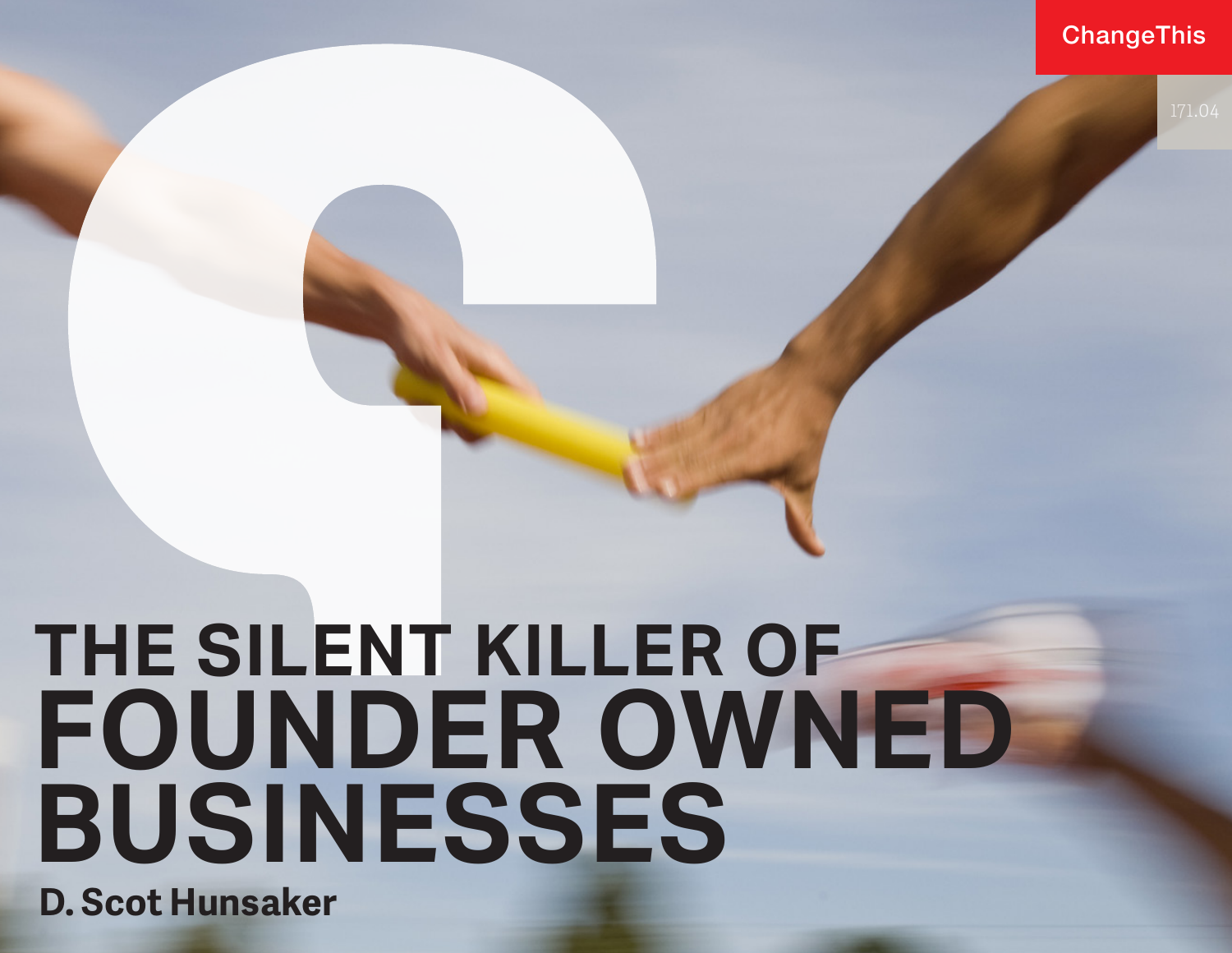### ChangeThis



# **THE SILENT KILLER OF FOUNDER OWNED BUSINESSES**

**D. Scot Hunsaker**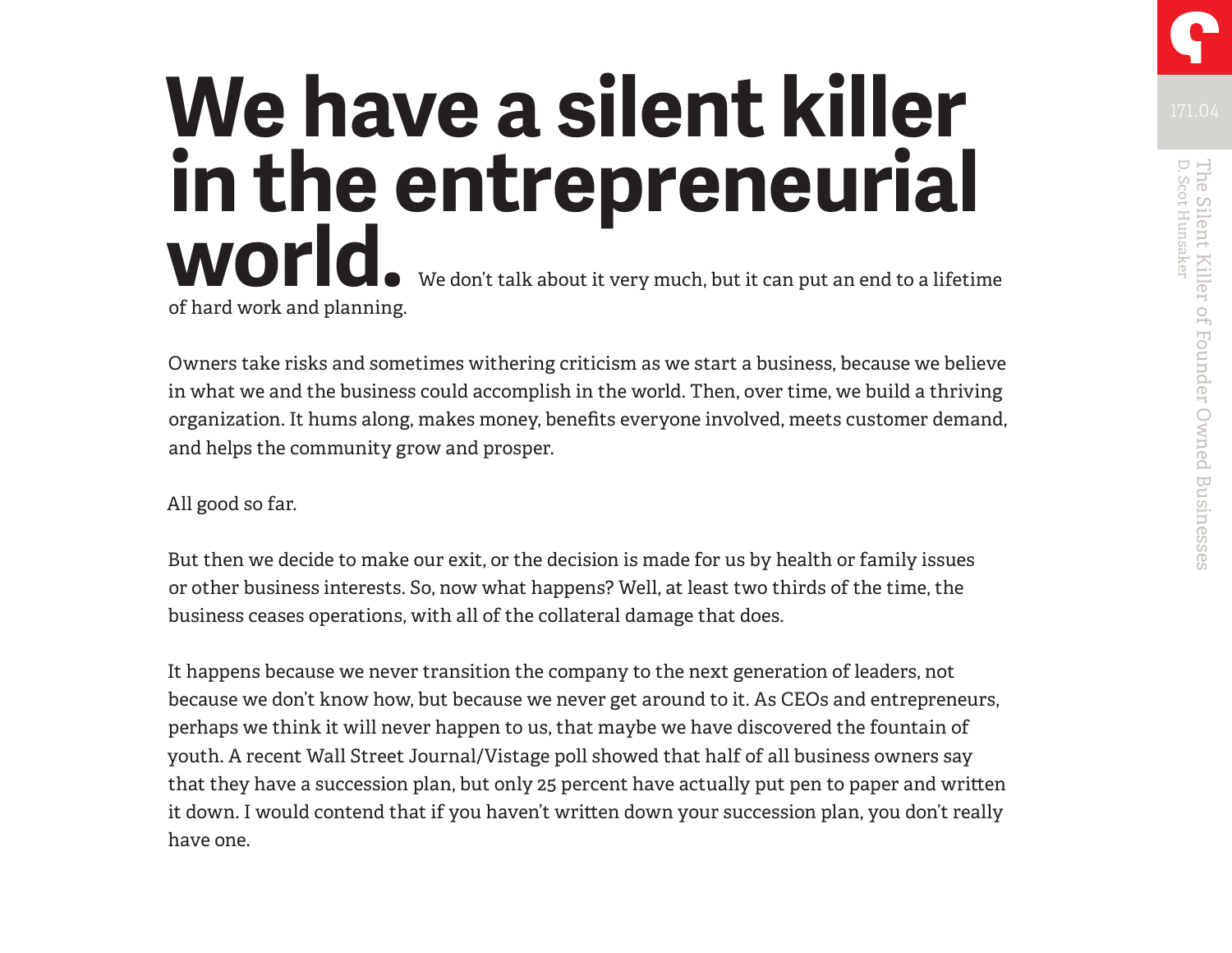# We have a silent killer **We have a silent killer in the entrepreneurial world.** We don't talk about it very much, but it can put an end to a lifetime of hard work and planning.

Owners take risks and sometimes withering criticism as we start a business, because we believe in what we and the business could accomplish in the world. Then, over time, we build a thriving organization. It hums along, makes money, benefits everyone involved, meets customer demand, and helps the community grow and prosper.

All good so far.

But then we decide to make our exit, or the decision is made for us by health or family issues or other business interests. So, now what happens? Well, at least two thirds of the time, the business ceases operations, with all of the collateral damage that does.

It happens because we never transition the company to the next generation of leaders, not because we don't know how, but because we never get around to it. As CEOs and entrepreneurs, perhaps we think it will never happen to us, that maybe we have discovered the fountain of youth. A recent Wall Street Journal/Vistage poll showed that half of all business owners say that they have a succession plan, but only 25 percent have actually put pen to paper and written it down. I would contend that if you haven't written down your succession plan, you don't really have one.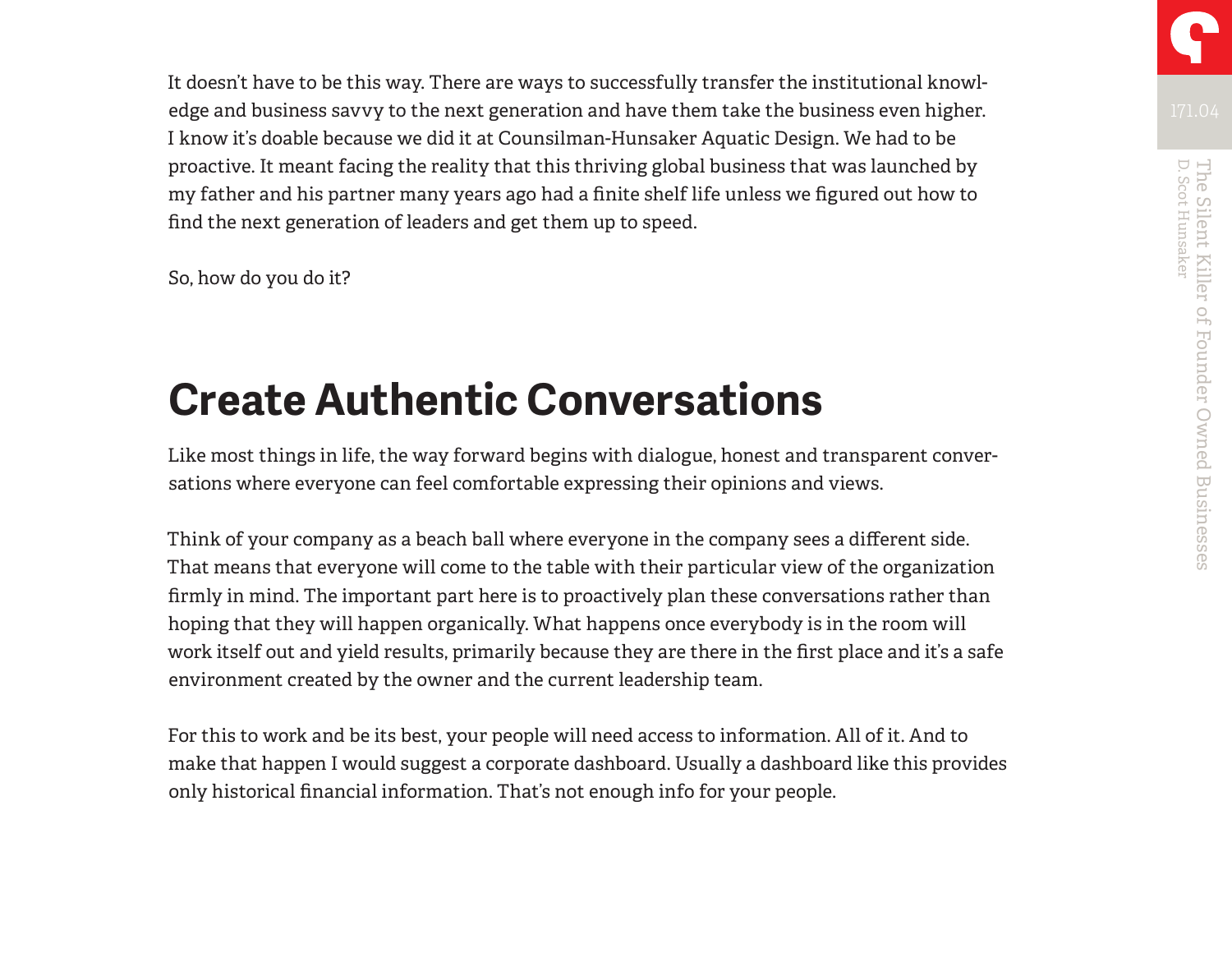It doesn't have to be this way. There are ways to successfully transfer the institutional knowledge and business savvy to the next generation and have them take the business even higher. I know it's doable because we did it at Counsilman-Hunsaker Aquatic Design. We had to be proactive. It meant facing the reality that this thriving global business that was launched by my father and his partner many years ago had a finite shelf life unless we figured out how to find the next generation of leaders and get them up to speed.

So, how do you do it?

### **Create Authentic Conversations**

Like most things in life, the way forward begins with dialogue, honest and transparent conversations where everyone can feel comfortable expressing their opinions and views.

Think of your company as a beach ball where everyone in the company sees a different side. That means that everyone will come to the table with their particular view of the organization firmly in mind. The important part here is to proactively plan these conversations rather than hoping that they will happen organically. What happens once everybody is in the room will work itself out and yield results, primarily because they are there in the first place and it's a safe environment created by the owner and the current leadership team.

For this to work and be its best, your people will need access to information. All of it. And to make that happen I would suggest a corporate dashboard. Usually a dashboard like this provides only historical financial information. That's not enough info for your people.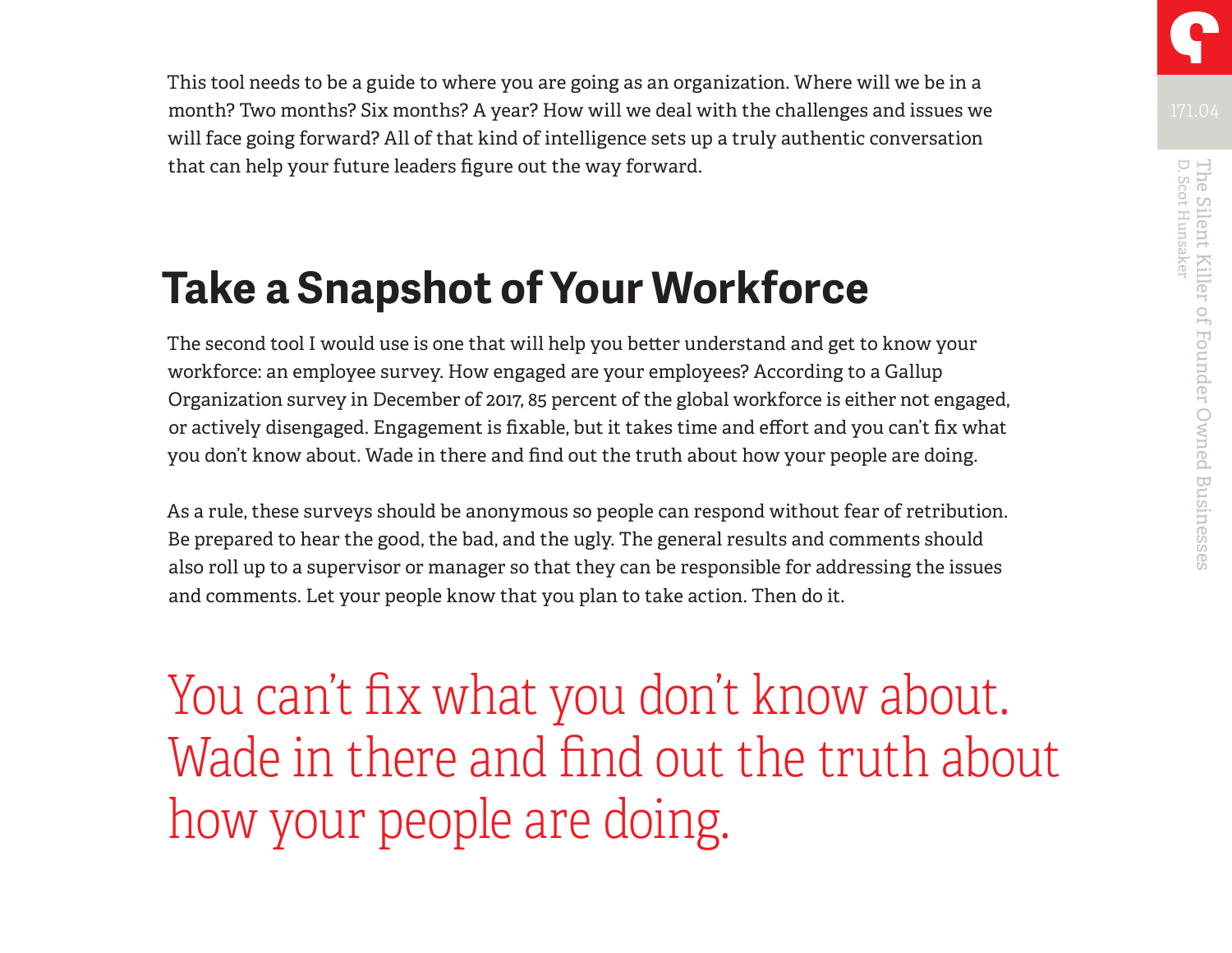This tool needs to be a guide to where you are going as an organization. Where will we be in a month? Two months? Six months? A year? How will we deal with the challenges and issues we will face going forward? All of that kind of intelligence sets up a truly authentic conversation that can help your future leaders figure out the way forward.

## **Take a Snapshot of Your Workforce**

The second tool I would use is one that will help you better understand and get to know your workforce: an employee survey. How engaged are your employees? According to a Gallup Organization survey in December of 2017, 85 percent of the global workforce is either not engaged, or actively disengaged. Engagement is fixable, but it takes time and effort and you can't fix what you don't know about. Wade in there and find out the truth about how your people are doing.

As a rule, these surveys should be anonymous so people can respond without fear of retribution. Be prepared to hear the good, the bad, and the ugly. The general results and comments should also roll up to a supervisor or manager so that they can be responsible for addressing the issues and comments. Let your people know that you plan to take action. Then do it.

You can't fix what you don't know about. Wade in there and find out the truth about how your people are doing.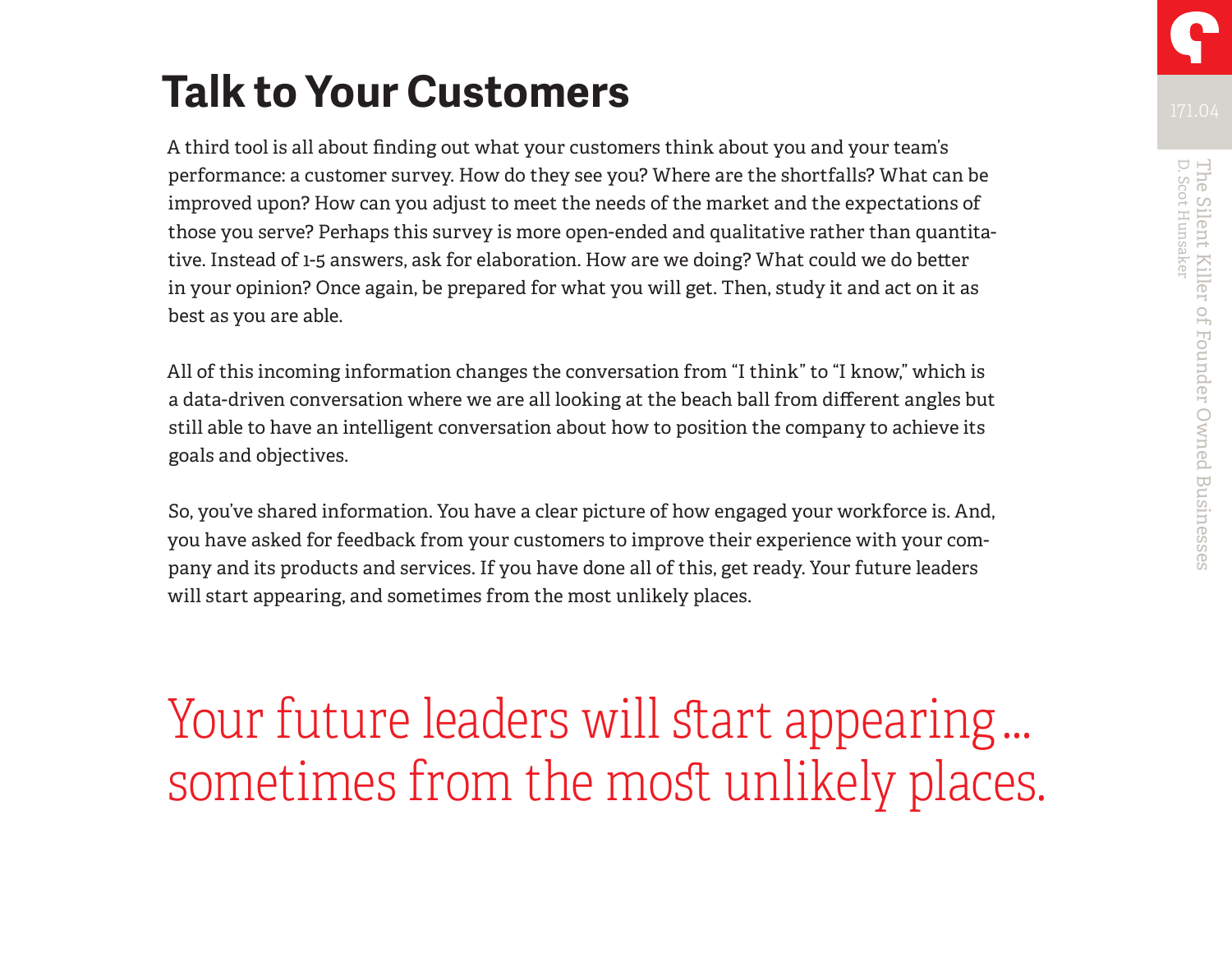# **Talk to Your Customers**

A third tool is all about finding out what your customers think about you and your team's performance: a customer survey. How do they see you? Where are the shortfalls? What can be improved upon? How can you adjust to meet the needs of the market and the expectations of those you serve? Perhaps this survey is more open-ended and qualitative rather than quantitative. Instead of 1-5 answers, ask for elaboration. How are we doing? What could we do better in your opinion? Once again, be prepared for what you will get. Then, study it and act on it as best as you are able.

All of this incoming information changes the conversation from "I think" to "I know," which is a data-driven conversation where we are all looking at the beach ball from different angles but still able to have an intelligent conversation about how to position the company to achieve its goals and objectives.

So, you've shared information. You have a clear picture of how engaged your workforce is. And, you have asked for feedback from your customers to improve their experience with your company and its products and services. If you have done all of this, get ready. Your future leaders will start appearing, and sometimes from the most unlikely places.

Your future leaders will start appearing … sometimes from the most unlikely places.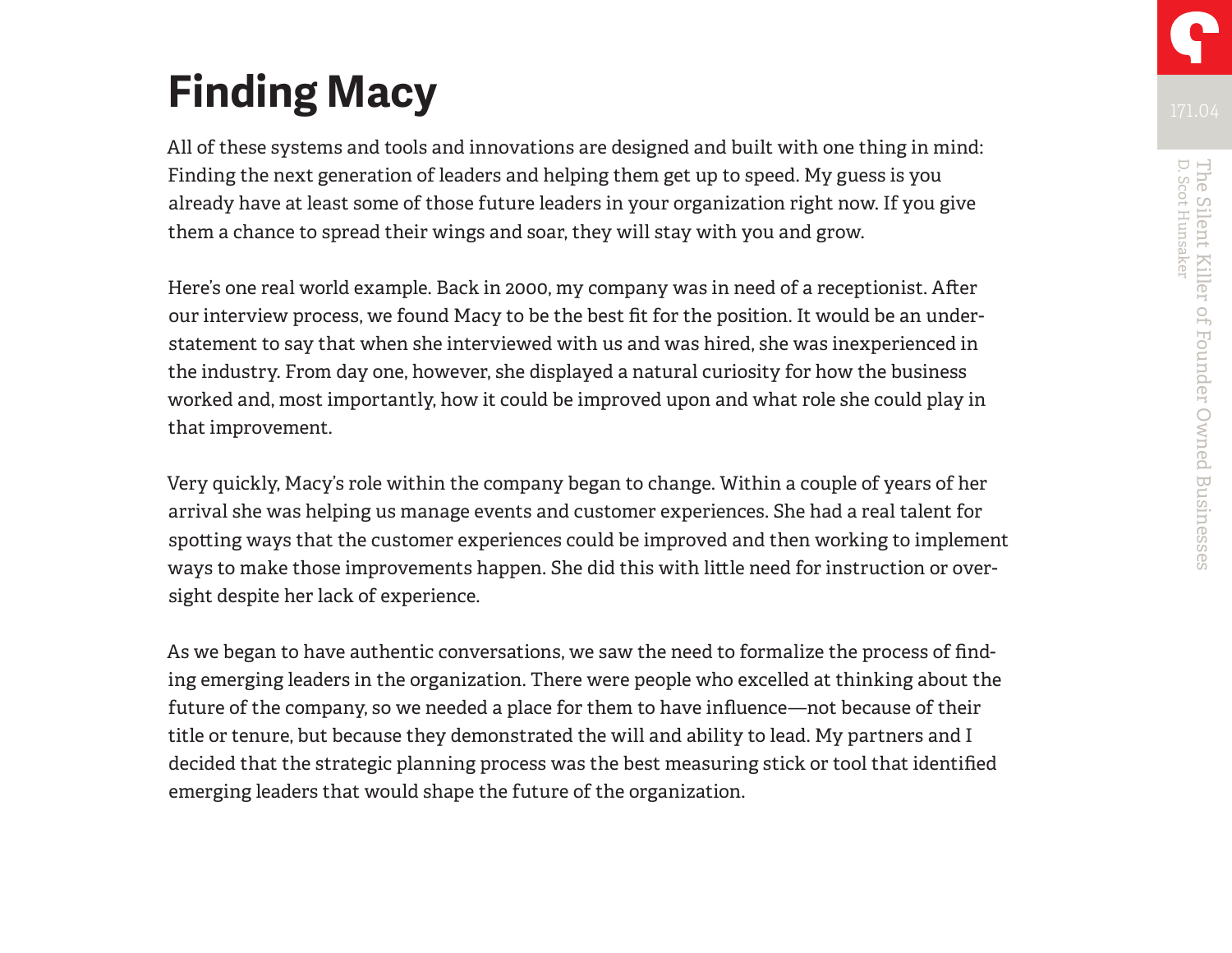# **Finding Macy**

All of these systems and tools and innovations are designed and built with one thing in mind: Finding the next generation of leaders and helping them get up to speed. My guess is you already have at least some of those future leaders in your organization right now. If you give them a chance to spread their wings and soar, they will stay with you and grow.

Here's one real world example. Back in 2000, my company was in need of a receptionist. After our interview process, we found Macy to be the best fit for the position. It would be an understatement to say that when she interviewed with us and was hired, she was inexperienced in the industry. From day one, however, she displayed a natural curiosity for how the business worked and, most importantly, how it could be improved upon and what role she could play in that improvement.

Very quickly, Macy's role within the company began to change. Within a couple of years of her arrival she was helping us manage events and customer experiences. She had a real talent for spotting ways that the customer experiences could be improved and then working to implement ways to make those improvements happen. She did this with little need for instruction or oversight despite her lack of experience.

As we began to have authentic conversations, we saw the need to formalize the process of finding emerging leaders in the organization. There were people who excelled at thinking about the future of the company, so we needed a place for them to have influence—not because of their title or tenure, but because they demonstrated the will and ability to lead. My partners and I decided that the strategic planning process was the best measuring stick or tool that identified emerging leaders that would shape the future of the organization.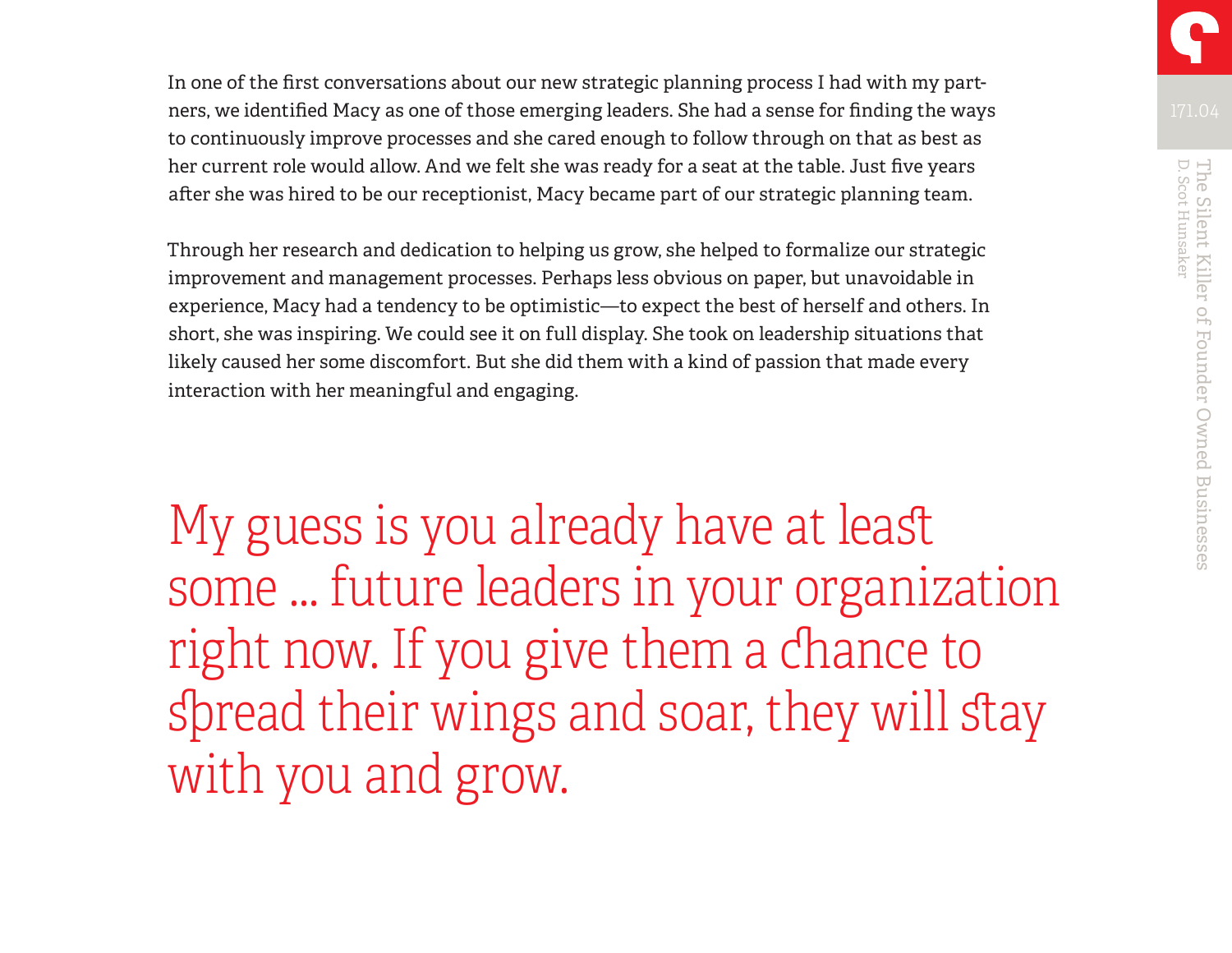In one of the first conversations about our new strategic planning process I had with my partners, we identified Macy as one of those emerging leaders. She had a sense for finding the ways to continuously improve processes and she cared enough to follow through on that as best as her current role would allow. And we felt she was ready for a seat at the table. Just five years after she was hired to be our receptionist, Macy became part of our strategic planning team.

Through her research and dedication to helping us grow, she helped to formalize our strategic improvement and management processes. Perhaps less obvious on paper, but unavoidable in experience, Macy had a tendency to be optimistic—to expect the best of herself and others. In short, she was inspiring. We could see it on full display. She took on leadership situations that likely caused her some discomfort. But she did them with a kind of passion that made every interaction with her meaningful and engaging.

My guess is you already have at least some … future leaders in your organization right now. If you give them a chance to spread their wings and soar, they will stay with you and grow.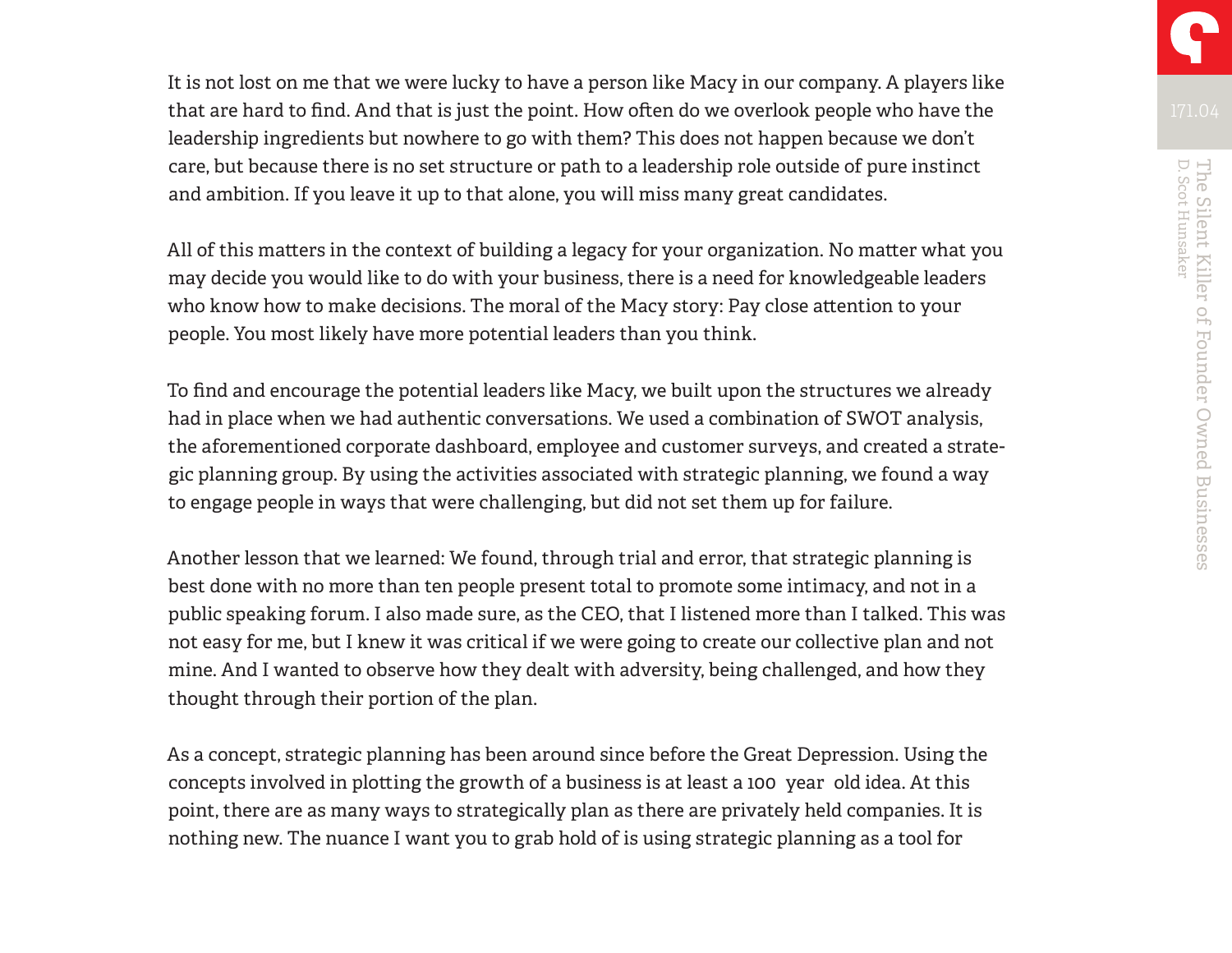It is not lost on me that we were lucky to have a person like Macy in our company. A players like that are hard to find. And that is just the point. How often do we overlook people who have the leadership ingredients but nowhere to go with them? This does not happen because we don't care, but because there is no set structure or path to a leadership role outside of pure instinct and ambition. If you leave it up to that alone, you will miss many great candidates.

All of this matters in the context of building a legacy for your organization. No matter what you may decide you would like to do with your business, there is a need for knowledgeable leaders who know how to make decisions. The moral of the Macy story: Pay close attention to your people. You most likely have more potential leaders than you think.

To find and encourage the potential leaders like Macy, we built upon the structures we already had in place when we had authentic conversations. We used a combination of SWOT analysis, the aforementioned corporate dashboard, employee and customer surveys, and created a strategic planning group. By using the activities associated with strategic planning, we found a way to engage people in ways that were challenging, but did not set them up for failure.

Another lesson that we learned: We found, through trial and error, that strategic planning is best done with no more than ten people present total to promote some intimacy, and not in a public speaking forum. I also made sure, as the CEO, that I listened more than I talked. This was not easy for me, but I knew it was critical if we were going to create our collective plan and not mine. And I wanted to observe how they dealt with adversity, being challenged, and how they thought through their portion of the plan.

As a concept, strategic planning has been around since before the Great Depression. Using the concepts involved in plotting the growth of a business is at least a 100 year old idea. At this point, there are as many ways to strategically plan as there are privately held companies. It is nothing new. The nuance I want you to grab hold of is using strategic planning as a tool for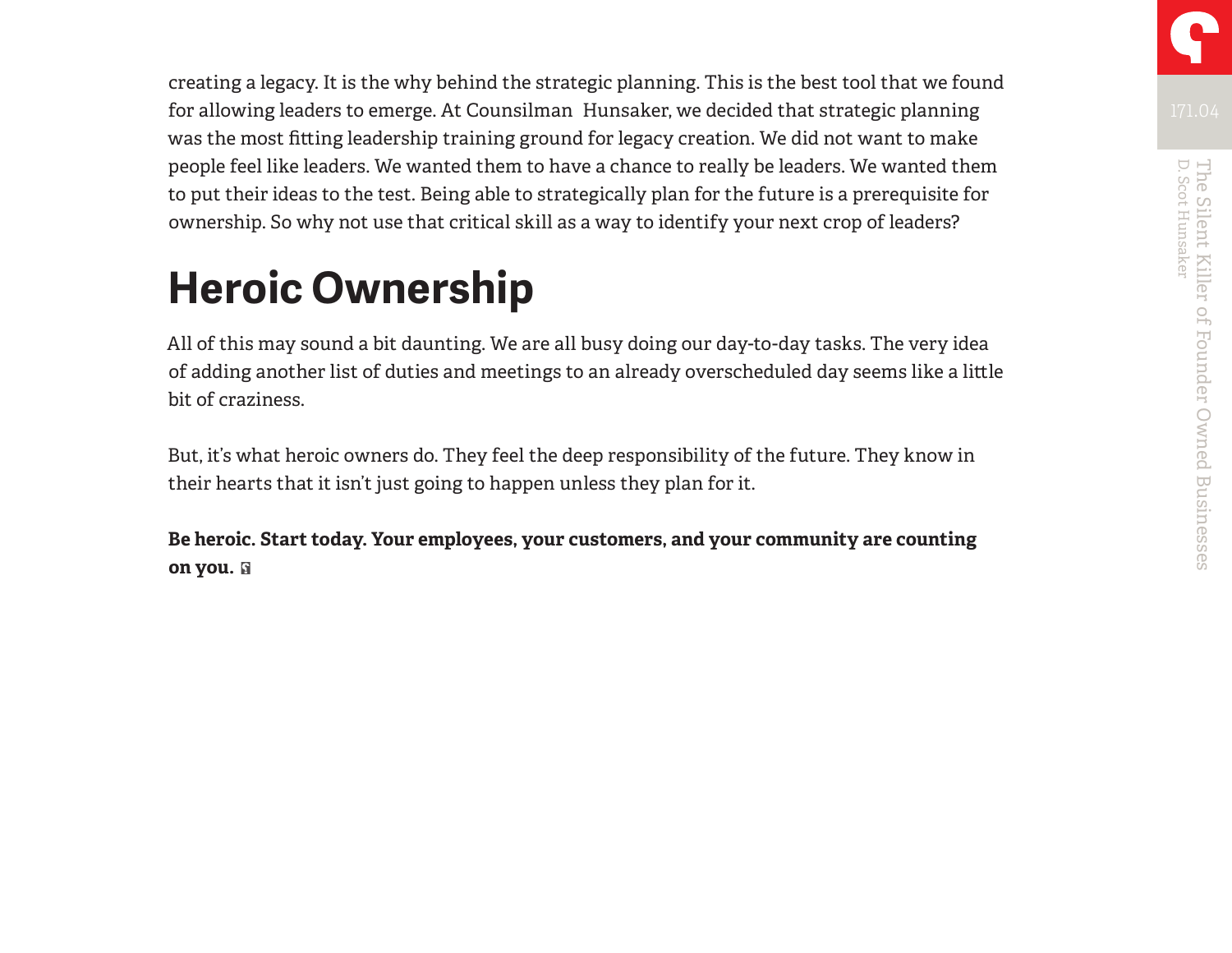creating a legacy. It is the why behind the strategic planning. This is the best tool that we found for allowing leaders to emerge. At Counsilman Hunsaker, we decided that strategic planning was the most fitting leadership training ground for legacy creation. We did not want to make people feel like leaders. We wanted them to have a chance to really be leaders. We wanted them to put their ideas to the test. Being able to strategically plan for the future is a prerequisite for ownership. So why not use that critical skill as a way to identify your next crop of leaders?

# **Heroic Ownership**

All of this may sound a bit daunting. We are all busy doing our day-to-day tasks. The very idea of adding another list of duties and meetings to an already overscheduled day seems like a little bit of craziness.

But, it's what heroic owners do. They feel the deep responsibility of the future. They know in their hearts that it isn't just going to happen unless they plan for it.

**Be heroic. Start today. Your employees, your customers, and your community are counting on you.**